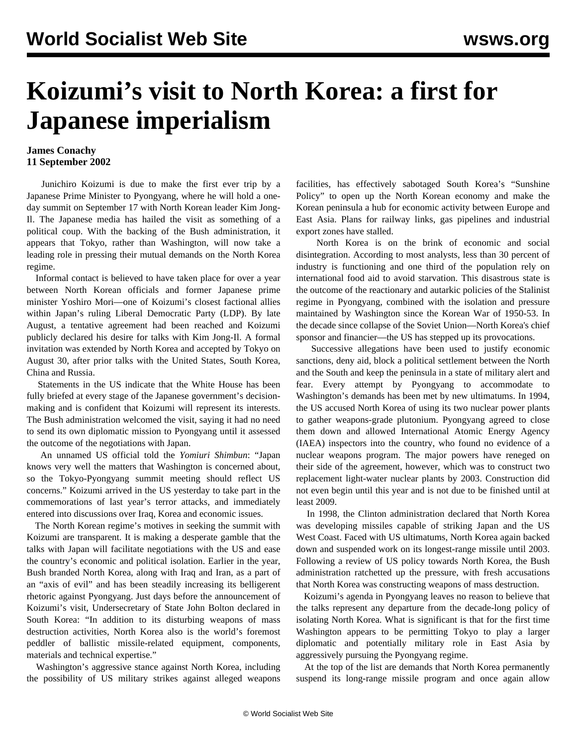## **Koizumi's visit to North Korea: a first for Japanese imperialism**

## **James Conachy 11 September 2002**

 Junichiro Koizumi is due to make the first ever trip by a Japanese Prime Minister to Pyongyang, where he will hold a oneday summit on September 17 with North Korean leader Kim Jong-Il. The Japanese media has hailed the visit as something of a political coup. With the backing of the Bush administration, it appears that Tokyo, rather than Washington, will now take a leading role in pressing their mutual demands on the North Korea regime.

 Informal contact is believed to have taken place for over a year between North Korean officials and former Japanese prime minister Yoshiro Mori—one of Koizumi's closest factional allies within Japan's ruling Liberal Democratic Party (LDP). By late August, a tentative agreement had been reached and Koizumi publicly declared his desire for talks with Kim Jong-Il. A formal invitation was extended by North Korea and accepted by Tokyo on August 30, after prior talks with the United States, South Korea, China and Russia.

 Statements in the US indicate that the White House has been fully briefed at every stage of the Japanese government's decisionmaking and is confident that Koizumi will represent its interests. The Bush administration welcomed the visit, saying it had no need to send its own diplomatic mission to Pyongyang until it assessed the outcome of the negotiations with Japan.

 An unnamed US official told the *Yomiuri Shimbun*: "Japan knows very well the matters that Washington is concerned about, so the Tokyo-Pyongyang summit meeting should reflect US concerns." Koizumi arrived in the US yesterday to take part in the commemorations of last year's terror attacks, and immediately entered into discussions over Iraq, Korea and economic issues.

 The North Korean regime's motives in seeking the summit with Koizumi are transparent. It is making a desperate gamble that the talks with Japan will facilitate negotiations with the US and ease the country's economic and political isolation. Earlier in the year, Bush branded North Korea, along with Iraq and Iran, as a part of an "axis of evil" and has been steadily increasing its belligerent rhetoric against Pyongyang. Just days before the announcement of Koizumi's visit, Undersecretary of State John Bolton declared in South Korea: "In addition to its disturbing weapons of mass destruction activities, North Korea also is the world's foremost peddler of ballistic missile-related equipment, components, materials and technical expertise."

 Washington's aggressive stance against North Korea, including the possibility of US military strikes against alleged weapons facilities, has effectively sabotaged South Korea's "Sunshine Policy" to open up the North Korean economy and make the Korean peninsula a hub for economic activity between Europe and East Asia. Plans for railway links, gas pipelines and industrial export zones have stalled.

 North Korea is on the brink of economic and social disintegration. According to most analysts, less than 30 percent of industry is functioning and one third of the population rely on international food aid to avoid starvation. This disastrous state is the outcome of the reactionary and autarkic policies of the Stalinist regime in Pyongyang, combined with the isolation and pressure maintained by Washington since the Korean War of 1950-53. In the decade since collapse of the Soviet Union—North Korea's chief sponsor and financier—the US has stepped up its provocations.

 Successive allegations have been used to justify economic sanctions, deny aid, block a political settlement between the North and the South and keep the peninsula in a state of military alert and fear. Every attempt by Pyongyang to accommodate to Washington's demands has been met by new ultimatums. In 1994, the US accused North Korea of using its two nuclear power plants to gather weapons-grade plutonium. Pyongyang agreed to close them down and allowed International Atomic Energy Agency (IAEA) inspectors into the country, who found no evidence of a nuclear weapons program. The major powers have reneged on their side of the agreement, however, which was to construct two replacement light-water nuclear plants by 2003. Construction did not even begin until this year and is not due to be finished until at least 2009.

 In 1998, the Clinton administration declared that North Korea was developing missiles capable of striking Japan and the US West Coast. Faced with US ultimatums, North Korea again backed down and suspended work on its longest-range missile until 2003. Following a review of US policy towards North Korea, the Bush administration ratchetted up the pressure, with fresh accusations that North Korea was constructing weapons of mass destruction.

 Koizumi's agenda in Pyongyang leaves no reason to believe that the talks represent any departure from the decade-long policy of isolating North Korea. What is significant is that for the first time Washington appears to be permitting Tokyo to play a larger diplomatic and potentially military role in East Asia by aggressively pursuing the Pyongyang regime.

 At the top of the list are demands that North Korea permanently suspend its long-range missile program and once again allow